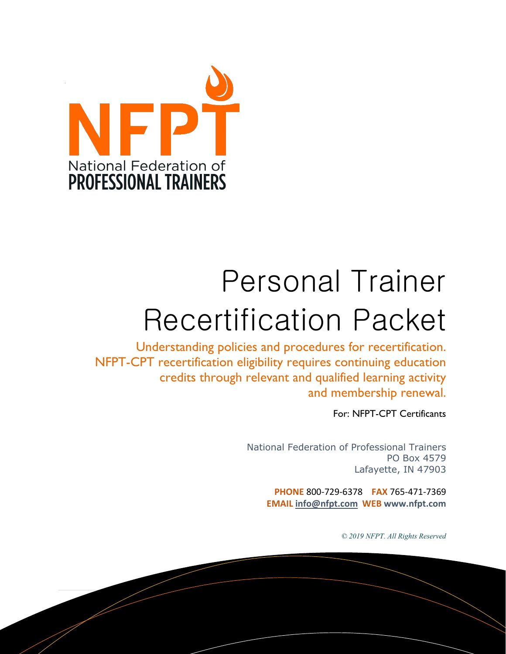

# Personal Trainer Recertification Packet

Understanding policies and procedures for recertification. NFPT-CPT recertification eligibility requires continuing education credits through relevant and qualified learning activity and membership renewal.

For: NFPT-CPT Certificants

National Federation of Professional Trainers PO Box 4579 Lafayette, IN 47903

**PHONE** 800-729-6378 **FAX** 765-471-7369 **EMAIL [info@nfpt.com](mailto:info@nfpt.com) WEB www.nfpt.com**

*© 2019 NFPT. All Rights Reserved*

1 | Page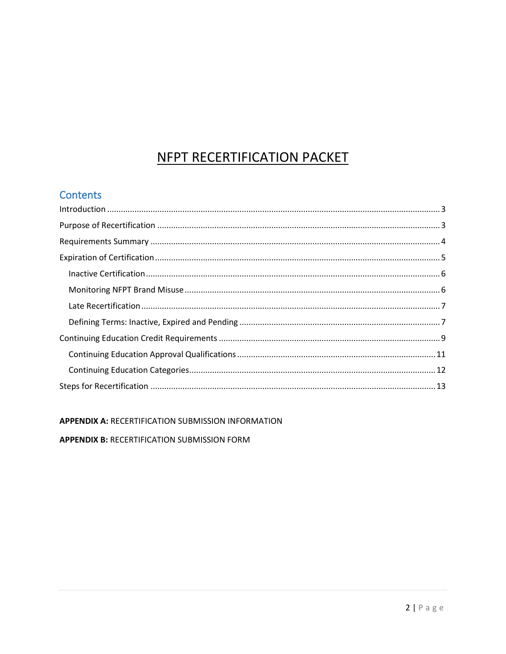# NFPT RECERTIFICATION PACKET

## **Contents**

APPENDIX A: RECERTIFICATION SUBMISSION INFORMATION **APPENDIX B: RECERTIFICATION SUBMISSION FORM**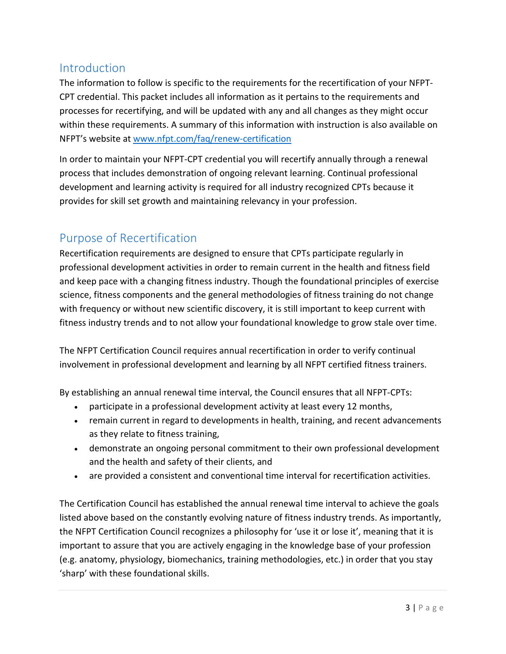## <span id="page-2-0"></span>**Introduction**

The information to follow is specific to the requirements for the recertification of your NFPT-CPT credential. This packet includes all information as it pertains to the requirements and processes for recertifying, and will be updated with any and all changes as they might occur within these requirements. A summary of this information with instruction is also available on NFPT's website at [www.nfpt.com/faq/renew-certification](http://www.nfpt.com/faq/renew-certification)

In order to maintain your NFPT-CPT credential you will recertify annually through a renewal process that includes demonstration of ongoing relevant learning. Continual professional development and learning activity is required for all industry recognized CPTs because it provides for skill set growth and maintaining relevancy in your profession.

## <span id="page-2-1"></span>Purpose of Recertification

Recertification requirements are designed to ensure that CPTs participate regularly in professional development activities in order to remain current in the health and fitness field and keep pace with a changing fitness industry. Though the foundational principles of exercise science, fitness components and the general methodologies of fitness training do not change with frequency or without new scientific discovery, it is still important to keep current with fitness industry trends and to not allow your foundational knowledge to grow stale over time.

The NFPT Certification Council requires annual recertification in order to verify continual involvement in professional development and learning by all NFPT certified fitness trainers.

By establishing an annual renewal time interval, the Council ensures that all NFPT-CPTs:

- participate in a professional development activity at least every 12 months,
- remain current in regard to developments in health, training, and recent advancements as they relate to fitness training,
- demonstrate an ongoing personal commitment to their own professional development and the health and safety of their clients, and
- are provided a consistent and conventional time interval for recertification activities.

The Certification Council has established the annual renewal time interval to achieve the goals listed above based on the constantly evolving nature of fitness industry trends. As importantly, the NFPT Certification Council recognizes a philosophy for 'use it or lose it', meaning that it is important to assure that you are actively engaging in the knowledge base of your profession (e.g. anatomy, physiology, biomechanics, training methodologies, etc.) in order that you stay 'sharp' with these foundational skills.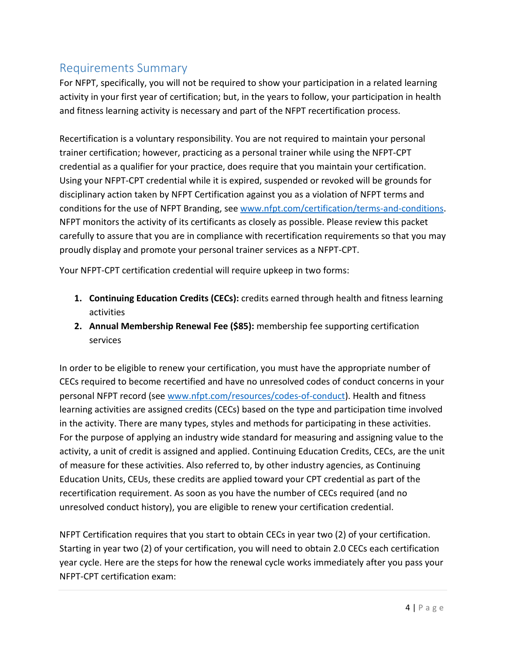## <span id="page-3-0"></span>Requirements Summary

For NFPT, specifically, you will not be required to show your participation in a related learning activity in your first year of certification; but, in the years to follow, your participation in health and fitness learning activity is necessary and part of the NFPT recertification process.

Recertification is a voluntary responsibility. You are not required to maintain your personal trainer certification; however, practicing as a personal trainer while using the NFPT-CPT credential as a qualifier for your practice, does require that you maintain your certification. Using your NFPT-CPT credential while it is expired, suspended or revoked will be grounds for disciplinary action taken by NFPT Certification against you as a violation of NFPT terms and conditions for the use of NFPT Branding, se[e www.nfpt.com/certification/terms-and-conditions.](http://www.nfpt.com/certification/terms-and-conditions) NFPT monitors the activity of its certificants as closely as possible. Please review this packet carefully to assure that you are in compliance with recertification requirements so that you may proudly display and promote your personal trainer services as a NFPT-CPT.

Your NFPT-CPT certification credential will require upkeep in two forms:

- **1. Continuing Education Credits (CECs):** credits earned through health and fitness learning activities
- **2. Annual Membership Renewal Fee (\$85):** membership fee supporting certification services

In order to be eligible to renew your certification, you must have the appropriate number of CECs required to become recertified and have no unresolved codes of conduct concerns in your personal NFPT record (see [www.nfpt.com/resources/codes-of-conduct\)](http://www.nfpt.com/resources/codes-of-conduct). Health and fitness learning activities are assigned credits (CECs) based on the type and participation time involved in the activity. There are many types, styles and methods for participating in these activities. For the purpose of applying an industry wide standard for measuring and assigning value to the activity, a unit of credit is assigned and applied. Continuing Education Credits, CECs, are the unit of measure for these activities. Also referred to, by other industry agencies, as Continuing Education Units, CEUs, these credits are applied toward your CPT credential as part of the recertification requirement. As soon as you have the number of CECs required (and no unresolved conduct history), you are eligible to renew your certification credential.

NFPT Certification requires that you start to obtain CECs in year two (2) of your certification. Starting in year two (2) of your certification, you will need to obtain 2.0 CECs each certification year cycle. Here are the steps for how the renewal cycle works immediately after you pass your NFPT-CPT certification exam: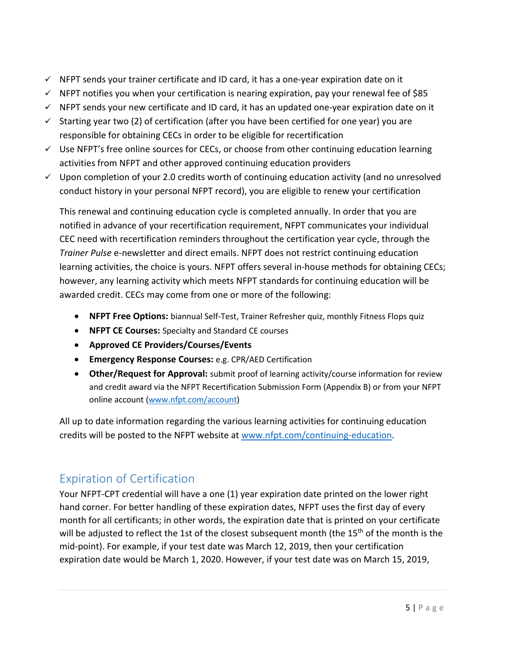- $\checkmark$  NFPT sends your trainer certificate and ID card, it has a one-year expiration date on it
- $\checkmark$  NFPT notifies you when your certification is nearing expiration, pay your renewal fee of \$85
- $\checkmark$  NFPT sends your new certificate and ID card, it has an updated one-year expiration date on it
- $\checkmark$  Starting year two (2) of certification (after you have been certified for one year) you are responsible for obtaining CECs in order to be eligible for recertification
- $\checkmark$  Use NFPT's free online sources for CECs, or choose from other continuing education learning activities from NFPT and other approved continuing education providers
- $\checkmark$  Upon completion of your 2.0 credits worth of continuing education activity (and no unresolved conduct history in your personal NFPT record), you are eligible to renew your certification

This renewal and continuing education cycle is completed annually. In order that you are notified in advance of your recertification requirement, NFPT communicates your individual CEC need with recertification reminders throughout the certification year cycle, through the *Trainer Pulse* e-newsletter and direct emails. NFPT does not restrict continuing education learning activities, the choice is yours. NFPT offers several in-house methods for obtaining CECs; however, any learning activity which meets NFPT standards for continuing education will be awarded credit. CECs may come from one or more of the following:

- **NFPT Free Options:** biannual Self-Test, Trainer Refresher quiz, monthly Fitness Flops quiz
- **NFPT CE Courses:** Specialty and Standard CE courses
- **Approved CE Providers/Courses/Events**
- **Emergency Response Courses:** e.g. CPR/AED Certification
- **Other/Request for Approval:** submit proof of learning activity/course information for review and credit award via the NFPT Recertification Submission Form (Appendix B) or from your NFPT online account [\(www.nfpt.com/account\)](http://www.nfpt.com/account)

All up to date information regarding the various learning activities for continuing education credits will be posted to the NFPT website at [www.nfpt.com/continuing-education.](http://www.nfpt.com/continuing-education)

## <span id="page-4-0"></span>Expiration of Certification

Your NFPT-CPT credential will have a one (1) year expiration date printed on the lower right hand corner. For better handling of these expiration dates, NFPT uses the first day of every month for all certificants; in other words, the expiration date that is printed on your certificate will be adjusted to reflect the 1st of the closest subsequent month (the  $15<sup>th</sup>$  of the month is the mid-point). For example, if your test date was March 12, 2019, then your certification expiration date would be March 1, 2020. However, if your test date was on March 15, 2019,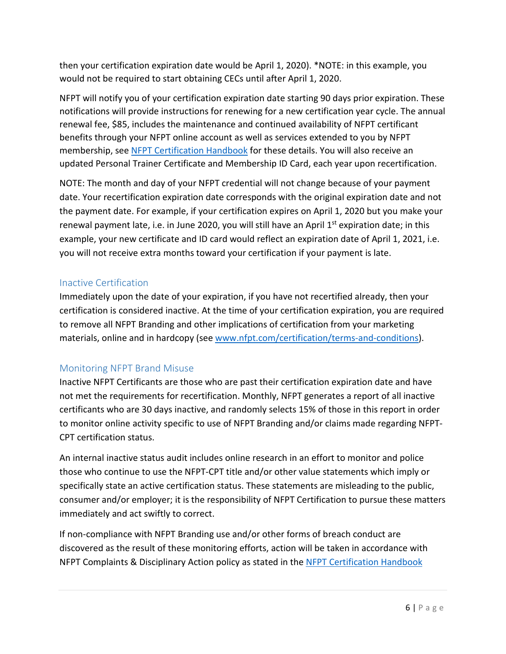then your certification expiration date would be April 1, 2020). \*NOTE: in this example, you would not be required to start obtaining CECs until after April 1, 2020.

NFPT will notify you of your certification expiration date starting 90 days prior expiration. These notifications will provide instructions for renewing for a new certification year cycle. The annual renewal fee, \$85, includes the maintenance and continued availability of NFPT certificant benefits through your NFPT online account as well as services extended to you by NFPT membership, se[e NFPT Certification Handbook](https://www.nfpt.com/wp-content/uploads/Certification-Handbook.pdf) for these details. You will also receive an updated Personal Trainer Certificate and Membership ID Card, each year upon recertification.

NOTE: The month and day of your NFPT credential will not change because of your payment date. Your recertification expiration date corresponds with the original expiration date and not the payment date. For example, if your certification expires on April 1, 2020 but you make your renewal payment late, i.e. in June 2020, you will still have an April  $1<sup>st</sup>$  expiration date; in this example, your new certificate and ID card would reflect an expiration date of April 1, 2021, i.e. you will not receive extra months toward your certification if your payment is late.

#### <span id="page-5-0"></span>Inactive Certification

Immediately upon the date of your expiration, if you have not recertified already, then your certification is considered inactive. At the time of your certification expiration, you are required to remove all NFPT Branding and other implications of certification from your marketing materials, online and in hardcopy (see [www.nfpt.com/certification/terms-and-conditions\)](http://www.nfpt.com/certification/terms-and-conditions).

#### <span id="page-5-1"></span>Monitoring NFPT Brand Misuse

Inactive NFPT Certificants are those who are past their certification expiration date and have not met the requirements for recertification. Monthly, NFPT generates a report of all inactive certificants who are 30 days inactive, and randomly selects 15% of those in this report in order to monitor online activity specific to use of NFPT Branding and/or claims made regarding NFPT-CPT certification status.

An internal inactive status audit includes online research in an effort to monitor and police those who continue to use the NFPT-CPT title and/or other value statements which imply or specifically state an active certification status. These statements are misleading to the public, consumer and/or employer; it is the responsibility of NFPT Certification to pursue these matters immediately and act swiftly to correct.

If non-compliance with NFPT Branding use and/or other forms of breach conduct are discovered as the result of these monitoring efforts, action will be taken in accordance with NFPT Complaints & Disciplinary Action policy as stated in the [NFPT Certification Handbook](https://www.nfpt.com/wp-content/uploads/Certification-Handbook.pdf)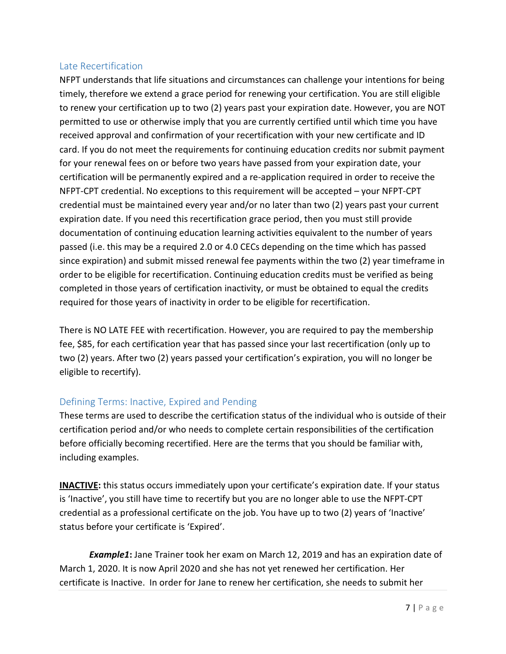#### <span id="page-6-0"></span>Late Recertification

NFPT understands that life situations and circumstances can challenge your intentions for being timely, therefore we extend a grace period for renewing your certification. You are still eligible to renew your certification up to two (2) years past your expiration date. However, you are NOT permitted to use or otherwise imply that you are currently certified until which time you have received approval and confirmation of your recertification with your new certificate and ID card. If you do not meet the requirements for continuing education credits nor submit payment for your renewal fees on or before two years have passed from your expiration date, your certification will be permanently expired and a re-application required in order to receive the NFPT-CPT credential. No exceptions to this requirement will be accepted – your NFPT-CPT credential must be maintained every year and/or no later than two (2) years past your current expiration date. If you need this recertification grace period, then you must still provide documentation of continuing education learning activities equivalent to the number of years passed (i.e. this may be a required 2.0 or 4.0 CECs depending on the time which has passed since expiration) and submit missed renewal fee payments within the two (2) year timeframe in order to be eligible for recertification. Continuing education credits must be verified as being completed in those years of certification inactivity, or must be obtained to equal the credits required for those years of inactivity in order to be eligible for recertification.

There is NO LATE FEE with recertification. However, you are required to pay the membership fee, \$85, for each certification year that has passed since your last recertification (only up to two (2) years. After two (2) years passed your certification's expiration, you will no longer be eligible to recertify).

#### <span id="page-6-1"></span>Defining Terms: Inactive, Expired and Pending

These terms are used to describe the certification status of the individual who is outside of their certification period and/or who needs to complete certain responsibilities of the certification before officially becoming recertified. Here are the terms that you should be familiar with, including examples.

**INACTIVE:** this status occurs immediately upon your certificate's expiration date. If your status is 'Inactive', you still have time to recertify but you are no longer able to use the NFPT-CPT credential as a professional certificate on the job. You have up to two (2) years of 'Inactive' status before your certificate is 'Expired'.

*Example1***:** Jane Trainer took her exam on March 12, 2019 and has an expiration date of March 1, 2020. It is now April 2020 and she has not yet renewed her certification. Her certificate is Inactive. In order for Jane to renew her certification, she needs to submit her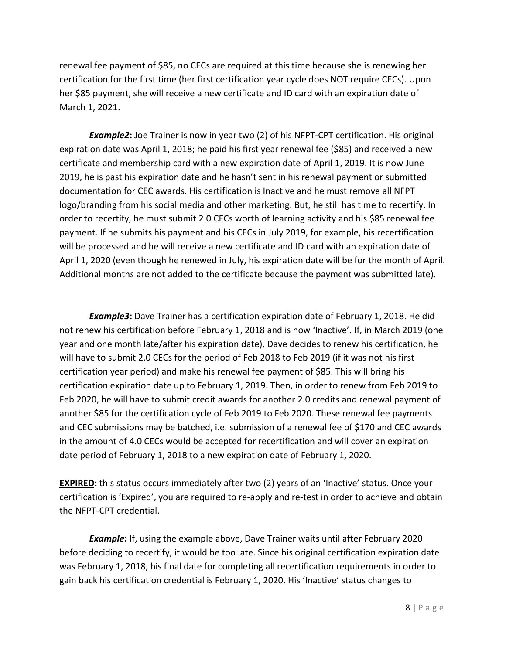renewal fee payment of \$85, no CECs are required at this time because she is renewing her certification for the first time (her first certification year cycle does NOT require CECs). Upon her \$85 payment, she will receive a new certificate and ID card with an expiration date of March 1, 2021.

*Example2***:** Joe Trainer is now in year two (2) of his NFPT-CPT certification. His original expiration date was April 1, 2018; he paid his first year renewal fee (\$85) and received a new certificate and membership card with a new expiration date of April 1, 2019. It is now June 2019, he is past his expiration date and he hasn't sent in his renewal payment or submitted documentation for CEC awards. His certification is Inactive and he must remove all NFPT logo/branding from his social media and other marketing. But, he still has time to recertify. In order to recertify, he must submit 2.0 CECs worth of learning activity and his \$85 renewal fee payment. If he submits his payment and his CECs in July 2019, for example, his recertification will be processed and he will receive a new certificate and ID card with an expiration date of April 1, 2020 (even though he renewed in July, his expiration date will be for the month of April. Additional months are not added to the certificate because the payment was submitted late).

*Example3***:** Dave Trainer has a certification expiration date of February 1, 2018. He did not renew his certification before February 1, 2018 and is now 'Inactive'. If, in March 2019 (one year and one month late/after his expiration date), Dave decides to renew his certification, he will have to submit 2.0 CECs for the period of Feb 2018 to Feb 2019 (if it was not his first certification year period) and make his renewal fee payment of \$85. This will bring his certification expiration date up to February 1, 2019. Then, in order to renew from Feb 2019 to Feb 2020, he will have to submit credit awards for another 2.0 credits and renewal payment of another \$85 for the certification cycle of Feb 2019 to Feb 2020. These renewal fee payments and CEC submissions may be batched, i.e. submission of a renewal fee of \$170 and CEC awards in the amount of 4.0 CECs would be accepted for recertification and will cover an expiration date period of February 1, 2018 to a new expiration date of February 1, 2020.

**EXPIRED:** this status occurs immediately after two (2) years of an 'Inactive' status. Once your certification is 'Expired', you are required to re-apply and re-test in order to achieve and obtain the NFPT-CPT credential.

*Example***:** If, using the example above, Dave Trainer waits until after February 2020 before deciding to recertify, it would be too late. Since his original certification expiration date was February 1, 2018, his final date for completing all recertification requirements in order to gain back his certification credential is February 1, 2020. His 'Inactive' status changes to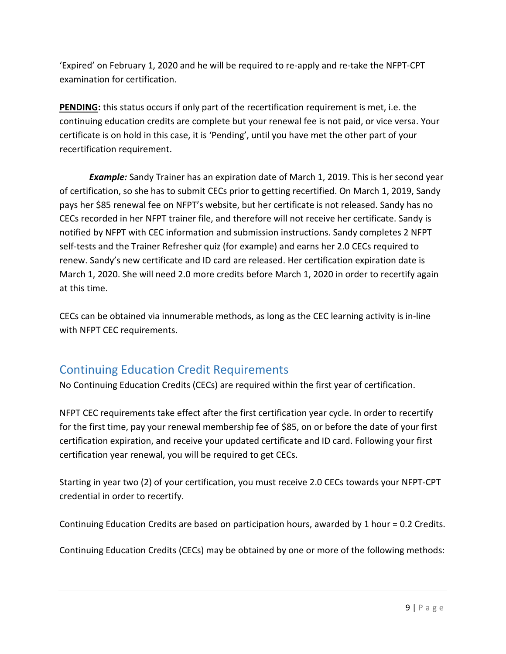'Expired' on February 1, 2020 and he will be required to re-apply and re-take the NFPT-CPT examination for certification.

**PENDING:** this status occurs if only part of the recertification requirement is met, i.e. the continuing education credits are complete but your renewal fee is not paid, or vice versa. Your certificate is on hold in this case, it is 'Pending', until you have met the other part of your recertification requirement.

*Example:* Sandy Trainer has an expiration date of March 1, 2019. This is her second year of certification, so she has to submit CECs prior to getting recertified. On March 1, 2019, Sandy pays her \$85 renewal fee on NFPT's website, but her certificate is not released. Sandy has no CECs recorded in her NFPT trainer file, and therefore will not receive her certificate. Sandy is notified by NFPT with CEC information and submission instructions. Sandy completes 2 NFPT self-tests and the Trainer Refresher quiz (for example) and earns her 2.0 CECs required to renew. Sandy's new certificate and ID card are released. Her certification expiration date is March 1, 2020. She will need 2.0 more credits before March 1, 2020 in order to recertify again at this time.

CECs can be obtained via innumerable methods, as long as the CEC learning activity is in-line with NFPT CEC requirements.

## <span id="page-8-0"></span>Continuing Education Credit Requirements

No Continuing Education Credits (CECs) are required within the first year of certification.

NFPT CEC requirements take effect after the first certification year cycle. In order to recertify for the first time, pay your renewal membership fee of \$85, on or before the date of your first certification expiration, and receive your updated certificate and ID card. Following your first certification year renewal, you will be required to get CECs.

Starting in year two (2) of your certification, you must receive 2.0 CECs towards your NFPT-CPT credential in order to recertify.

Continuing Education Credits are based on participation hours, awarded by 1 hour = 0.2 Credits.

Continuing Education Credits (CECs) may be obtained by one or more of the following methods: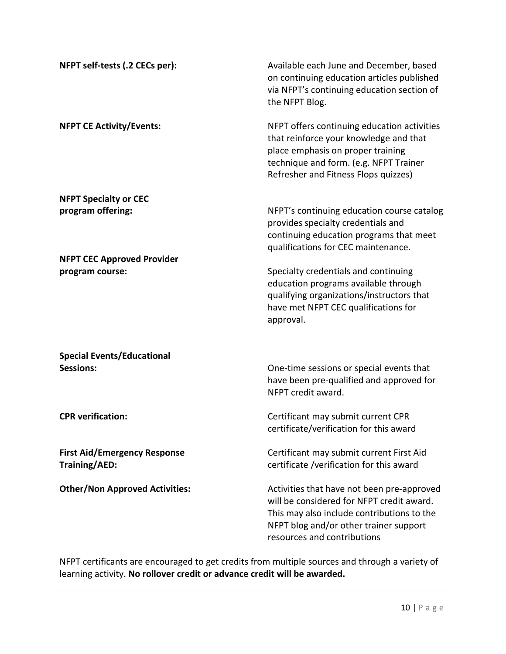| NFPT self-tests (.2 CECs per):                              | Available each June and December, based<br>on continuing education articles published<br>via NFPT's continuing education section of<br>the NFPT Blog.                                                          |
|-------------------------------------------------------------|----------------------------------------------------------------------------------------------------------------------------------------------------------------------------------------------------------------|
| <b>NFPT CE Activity/Events:</b>                             | NFPT offers continuing education activities<br>that reinforce your knowledge and that<br>place emphasis on proper training<br>technique and form. (e.g. NFPT Trainer<br>Refresher and Fitness Flops quizzes)   |
| <b>NFPT Specialty or CEC</b><br>program offering:           | NFPT's continuing education course catalog<br>provides specialty credentials and<br>continuing education programs that meet<br>qualifications for CEC maintenance.                                             |
| <b>NFPT CEC Approved Provider</b><br>program course:        | Specialty credentials and continuing<br>education programs available through<br>qualifying organizations/instructors that<br>have met NFPT CEC qualifications for<br>approval.                                 |
| <b>Special Events/Educational</b><br><b>Sessions:</b>       | One-time sessions or special events that<br>have been pre-qualified and approved for<br>NFPT credit award.                                                                                                     |
| <b>CPR</b> verification:                                    | Certificant may submit current CPR<br>certificate/verification for this award                                                                                                                                  |
| <b>First Aid/Emergency Response</b><br><b>Training/AED:</b> | Certificant may submit current First Aid<br>certificate /verification for this award                                                                                                                           |
| <b>Other/Non Approved Activities:</b>                       | Activities that have not been pre-approved<br>will be considered for NFPT credit award.<br>This may also include contributions to the<br>NFPT blog and/or other trainer support<br>resources and contributions |

NFPT certificants are encouraged to get credits from multiple sources and through a variety of learning activity. **No rollover credit or advance credit will be awarded.**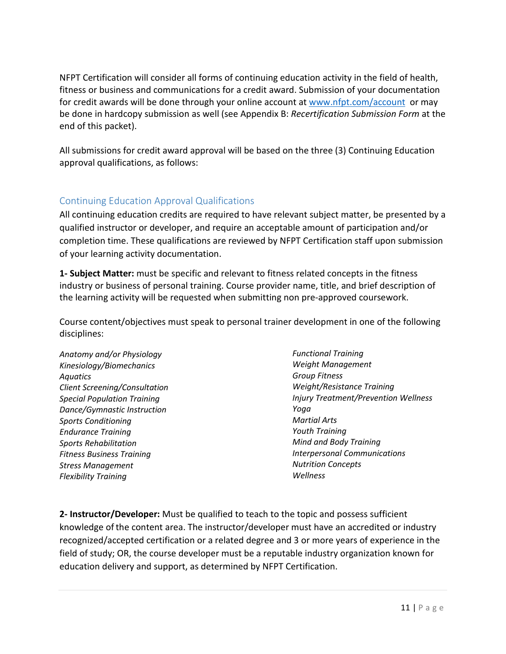NFPT Certification will consider all forms of continuing education activity in the field of health, fitness or business and communications for a credit award. Submission of your documentation for credit awards will be done through your online account at [www.nfpt.com/account](http://www.nfpt.com/account) or may be done in hardcopy submission as well (see Appendix B: *Recertification Submission Form* at the end of this packet).

All submissions for credit award approval will be based on the three (3) Continuing Education approval qualifications, as follows:

#### <span id="page-10-0"></span>Continuing Education Approval Qualifications

All continuing education credits are required to have relevant subject matter, be presented by a qualified instructor or developer, and require an acceptable amount of participation and/or completion time. These qualifications are reviewed by NFPT Certification staff upon submission of your learning activity documentation.

**1- Subject Matter:** must be specific and relevant to fitness related concepts in the fitness industry or business of personal training. Course provider name, title, and brief description of the learning activity will be requested when submitting non pre-approved coursework.

Course content/objectives must speak to personal trainer development in one of the following disciplines:

*Anatomy and/or Physiology Kinesiology/Biomechanics Aquatics Client Screening/Consultation Special Population Training Dance/Gymnastic Instruction Sports Conditioning Endurance Training Sports Rehabilitation Fitness Business Training Stress Management Flexibility Training*

*Functional Training Weight Management Group Fitness Weight/Resistance Training Injury Treatment/Prevention Wellness Yoga Martial Arts Youth Training Mind and Body Training Interpersonal Communications Nutrition Concepts Wellness*

**2- Instructor/Developer:** Must be qualified to teach to the topic and possess sufficient knowledge of the content area. The instructor/developer must have an accredited or industry recognized/accepted certification or a related degree and 3 or more years of experience in the field of study; OR, the course developer must be a reputable industry organization known for education delivery and support, as determined by NFPT Certification.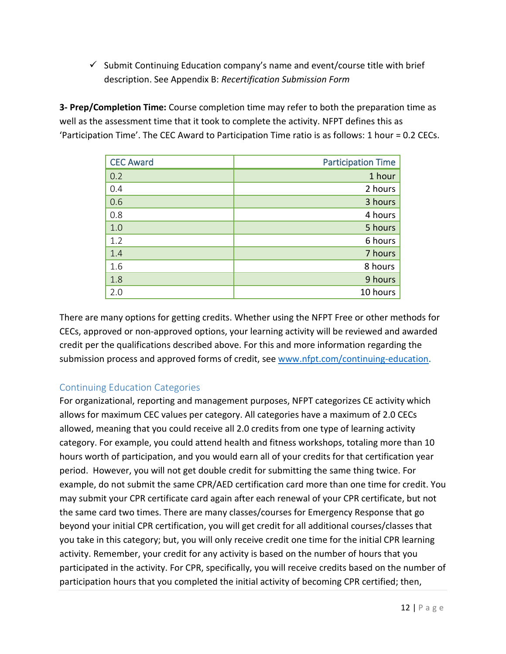$\checkmark$  Submit Continuing Education company's name and event/course title with brief description. See Appendix B: *Recertification Submission Form*

**3- Prep/Completion Time:** Course completion time may refer to both the preparation time as well as the assessment time that it took to complete the activity. NFPT defines this as 'Participation Time'. The CEC Award to Participation Time ratio is as follows: 1 hour = 0.2 CECs.

| <b>CEC Award</b> | <b>Participation Time</b> |
|------------------|---------------------------|
| 0.2              | 1 hour                    |
| 0.4              | 2 hours                   |
| 0.6              | 3 hours                   |
| 0.8              | 4 hours                   |
| 1.0              | 5 hours                   |
| 1.2              | 6 hours                   |
| 1.4              | 7 hours                   |
| 1.6              | 8 hours                   |
| 1.8              | 9 hours                   |
| 2.0              | 10 hours                  |

There are many options for getting credits. Whether using the NFPT Free or other methods for CECs, approved or non-approved options, your learning activity will be reviewed and awarded credit per the qualifications described above. For this and more information regarding the submission process and approved forms of credit, se[e www.nfpt.com/continuing-education.](http://www.nfpt.com/continuing-education)

### <span id="page-11-0"></span>Continuing Education Categories

For organizational, reporting and management purposes, NFPT categorizes CE activity which allows for maximum CEC values per category. All categories have a maximum of 2.0 CECs allowed, meaning that you could receive all 2.0 credits from one type of learning activity category. For example, you could attend health and fitness workshops, totaling more than 10 hours worth of participation, and you would earn all of your credits for that certification year period. However, you will not get double credit for submitting the same thing twice. For example, do not submit the same CPR/AED certification card more than one time for credit. You may submit your CPR certificate card again after each renewal of your CPR certificate, but not the same card two times. There are many classes/courses for Emergency Response that go beyond your initial CPR certification, you will get credit for all additional courses/classes that you take in this category; but, you will only receive credit one time for the initial CPR learning activity. Remember, your credit for any activity is based on the number of hours that you participated in the activity. For CPR, specifically, you will receive credits based on the number of participation hours that you completed the initial activity of becoming CPR certified; then,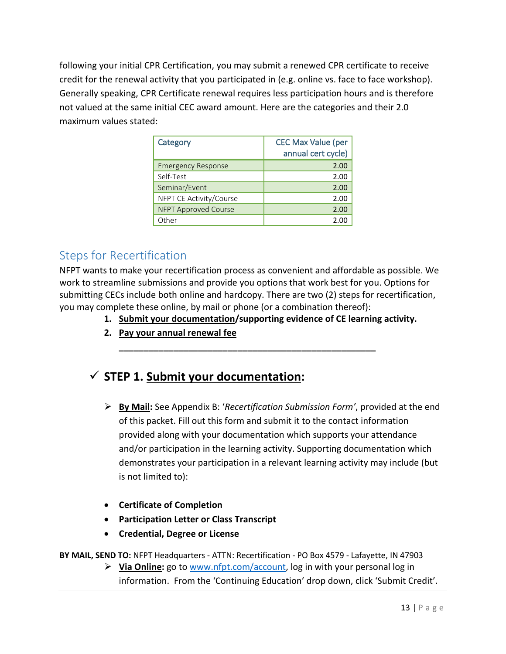following your initial CPR Certification, you may submit a renewed CPR certificate to receive credit for the renewal activity that you participated in (e.g. online vs. face to face workshop). Generally speaking, CPR Certificate renewal requires less participation hours and is therefore not valued at the same initial CEC award amount. Here are the categories and their 2.0 maximum values stated:

| Category                    | <b>CEC Max Value (per</b><br>annual cert cycle) |
|-----------------------------|-------------------------------------------------|
| <b>Emergency Response</b>   | 2.00                                            |
| Self-Test                   | 2.00                                            |
| Seminar/Event               | 2.00                                            |
| NFPT CE Activity/Course     | 2.00                                            |
| <b>NFPT Approved Course</b> | 2.00                                            |
| Other                       | 2.00                                            |

## <span id="page-12-0"></span>Steps for Recertification

NFPT wants to make your recertification process as convenient and affordable as possible. We work to streamline submissions and provide you options that work best for you. Options for submitting CECs include both online and hardcopy. There are two (2) steps for recertification, you may complete these online, by mail or phone (or a combination thereof):

**\_\_\_\_\_\_\_\_\_\_\_\_\_\_\_\_\_\_\_\_\_\_\_\_\_\_\_\_\_\_\_\_\_\_\_\_\_\_\_\_\_\_\_\_\_\_\_\_\_\_\_\_**

- **1. Submit your documentation/supporting evidence of CE learning activity.**
- **2. Pay your annual renewal fee**

## **STEP 1. Submit your documentation:**

- **By Mail:** See Appendix B: '*Recertification Submission Form'*, provided at the end of this packet. Fill out this form and submit it to the contact information provided along with your documentation which supports your attendance and/or participation in the learning activity. Supporting documentation which demonstrates your participation in a relevant learning activity may include (but is not limited to):
- **Certificate of Completion**
- **Participation Letter or Class Transcript**
- **Credential, Degree or License**

**BY MAIL, SEND TO:** NFPT Headquarters - ATTN: Recertification - PO Box 4579 - Lafayette, IN 47903

 **Via Online:** go to [www.nfpt.com/account,](http://www.nfpt.com/account) log in with your personal log in information. From the 'Continuing Education' drop down, click 'Submit Credit'.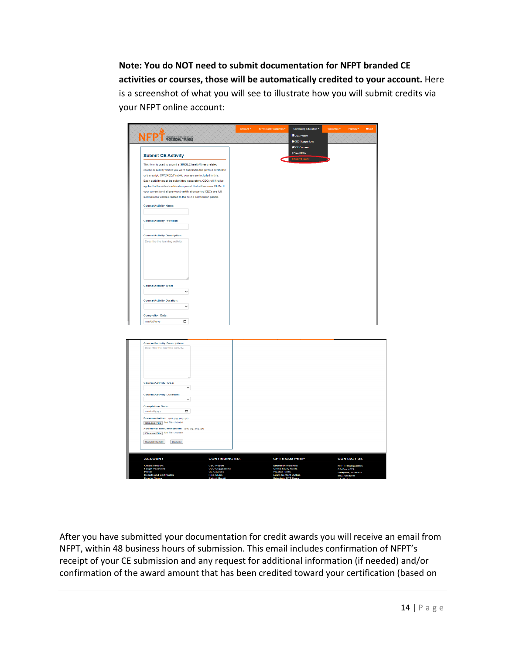**Note: You do NOT need to submit documentation for NFPT branded CE activities or courses, those will be automatically credited to your account.** Here is a screenshot of what you will see to illustrate how you will submit credits via your NFPT online account:

|                                                                         |                                                                     | <b>FF</b> CE Courses                                                             |                                                                |
|-------------------------------------------------------------------------|---------------------------------------------------------------------|----------------------------------------------------------------------------------|----------------------------------------------------------------|
| <b>Submit CE Activity</b>                                               |                                                                     | \$Free CECs                                                                      |                                                                |
| This form is used to submit a SINGLE health/fitness related             |                                                                     |                                                                                  |                                                                |
| course or activity where you were assessed and given a certificate      |                                                                     |                                                                                  |                                                                |
| or transcript; CPR/AED/First Aid courses are included in this.          |                                                                     |                                                                                  |                                                                |
| Each activity must be submitted separately. CECs will first be          |                                                                     |                                                                                  |                                                                |
| applied to the oldest certification period that still requires CECs. If |                                                                     |                                                                                  |                                                                |
| your current (and all previous) certification period CECs are full,     |                                                                     |                                                                                  |                                                                |
| submissions will be credited to the NEXT certification period.          |                                                                     |                                                                                  |                                                                |
|                                                                         |                                                                     |                                                                                  |                                                                |
| <b>Course/Activity Name:</b>                                            |                                                                     |                                                                                  |                                                                |
|                                                                         |                                                                     |                                                                                  |                                                                |
| <b>Course/Activity Provider:</b>                                        |                                                                     |                                                                                  |                                                                |
|                                                                         |                                                                     |                                                                                  |                                                                |
| <b>Course/Activity Description:</b>                                     |                                                                     |                                                                                  |                                                                |
| Describe the learning activity.                                         |                                                                     |                                                                                  |                                                                |
|                                                                         |                                                                     |                                                                                  |                                                                |
|                                                                         |                                                                     |                                                                                  |                                                                |
|                                                                         |                                                                     |                                                                                  |                                                                |
|                                                                         |                                                                     |                                                                                  |                                                                |
|                                                                         |                                                                     |                                                                                  |                                                                |
|                                                                         |                                                                     |                                                                                  |                                                                |
|                                                                         |                                                                     |                                                                                  |                                                                |
|                                                                         |                                                                     |                                                                                  |                                                                |
| <b>Course/Activity Type:</b>                                            |                                                                     |                                                                                  |                                                                |
| $\checkmark$                                                            |                                                                     |                                                                                  |                                                                |
|                                                                         |                                                                     |                                                                                  |                                                                |
| <b>Course/Activity Duration:</b>                                        |                                                                     |                                                                                  |                                                                |
| $\checkmark$                                                            |                                                                     |                                                                                  |                                                                |
|                                                                         |                                                                     |                                                                                  |                                                                |
| <b>Completion Date:</b>                                                 |                                                                     |                                                                                  |                                                                |
| α<br>mm/dd/yyyy                                                         |                                                                     |                                                                                  |                                                                |
|                                                                         |                                                                     |                                                                                  |                                                                |
|                                                                         |                                                                     |                                                                                  |                                                                |
|                                                                         |                                                                     |                                                                                  |                                                                |
| <b>Course/Activity Description:</b>                                     |                                                                     |                                                                                  |                                                                |
|                                                                         |                                                                     |                                                                                  |                                                                |
| Describe the learning activity                                          |                                                                     |                                                                                  |                                                                |
|                                                                         |                                                                     |                                                                                  |                                                                |
|                                                                         |                                                                     |                                                                                  |                                                                |
|                                                                         |                                                                     |                                                                                  |                                                                |
|                                                                         |                                                                     |                                                                                  |                                                                |
|                                                                         |                                                                     |                                                                                  |                                                                |
|                                                                         |                                                                     |                                                                                  |                                                                |
| <b>Course/Activity Type:</b>                                            |                                                                     |                                                                                  |                                                                |
| $\checkmark$                                                            |                                                                     |                                                                                  |                                                                |
| <b>Course/Activity Duration:</b>                                        |                                                                     |                                                                                  |                                                                |
| $\check{~}$                                                             |                                                                     |                                                                                  |                                                                |
|                                                                         |                                                                     |                                                                                  |                                                                |
| <b>Completion Date:</b><br>mm/dd/yyyy                                   |                                                                     |                                                                                  |                                                                |
| $\blacksquare$                                                          |                                                                     |                                                                                  |                                                                |
| Documentation: (pdf, jpg, png, gif)                                     |                                                                     |                                                                                  |                                                                |
| Choose File No file chosen                                              |                                                                     |                                                                                  |                                                                |
| Additional Documentation: (pdf. jpg. png. glf)                          |                                                                     |                                                                                  |                                                                |
| Choose File No file chosen                                              |                                                                     |                                                                                  |                                                                |
|                                                                         |                                                                     |                                                                                  |                                                                |
| Submit Credit<br>Cancel                                                 |                                                                     |                                                                                  |                                                                |
|                                                                         |                                                                     |                                                                                  |                                                                |
| <b>ACCOUNT</b>                                                          | <b>CONTINUING ED.</b>                                               | <b>CPT EXAM PREP</b>                                                             | <b>CONTACT US</b>                                              |
|                                                                         |                                                                     |                                                                                  |                                                                |
| <b>Create Account</b><br><b>Forgot Password</b><br>Profile              | <b>CEC Report</b><br><b>CEC Suggesti</b><br>ms<br><b>CE Courses</b> | <b>Education Materials</b><br><b>Online Study Guide</b><br><b>Practice Tests</b> | <b>NEPT Headquarters</b><br>PO Box 4579<br>Lafayette, IN 47003 |

After you have submitted your documentation for credit awards you will receive an email from NFPT, within 48 business hours of submission. This email includes confirmation of NFPT's receipt of your CE submission and any request for additional information (if needed) and/or confirmation of the award amount that has been credited toward your certification (based on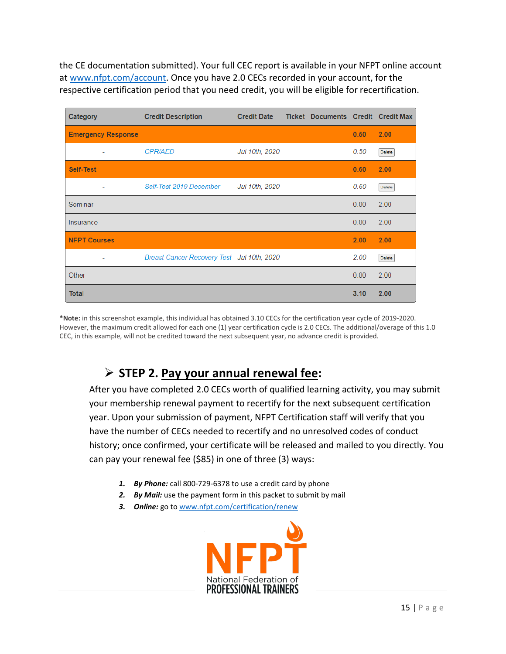the CE documentation submitted). Your full CEC report is available in your NFPT online account at [www.nfpt.com/account.](http://www.nfpt.com/account) Once you have 2.0 CECs recorded in your account, for the respective certification period that you need credit, you will be eligible for recertification.

| Category                  | <b>Credit Description</b>                  | <b>Credit Date</b> | <b>Ticket Documents Credit Credit Max</b> |      |        |
|---------------------------|--------------------------------------------|--------------------|-------------------------------------------|------|--------|
| <b>Emergency Response</b> |                                            |                    |                                           | 0.50 | 2.00   |
| ٠                         | <b>CPR/AED</b>                             | Jul 10th, 2020     |                                           | 0.50 | Delete |
| <b>Self-Test</b>          |                                            |                    |                                           | 0.60 | 2.00   |
| ٠                         | Self-Test 2019 December                    | Jul 10th, 2020     |                                           | 0.60 | Delete |
| Seminar                   |                                            |                    |                                           | 0.00 | 2.00   |
| Insurance                 |                                            |                    |                                           | 0.00 | 2.00   |
| <b>NFPT Courses</b>       |                                            |                    |                                           | 2.00 | 2.00   |
| $\overline{\phantom{a}}$  | Breast Cancer Recovery Test Jul 10th, 2020 |                    |                                           | 2.00 | Delete |
| Other                     |                                            |                    |                                           | 0.00 | 2.00   |
| <b>Total</b>              |                                            |                    |                                           | 3.10 | 2.00   |

**\*Note:** in this screenshot example, this individual has obtained 3.10 CECs for the certification year cycle of 2019-2020. However, the maximum credit allowed for each one (1) year certification cycle is 2.0 CECs. The additional/overage of this 1.0 CEC, in this example, will not be credited toward the next subsequent year, no advance credit is provided.

## **STEP 2. Pay your annual renewal fee:**

After you have completed 2.0 CECs worth of qualified learning activity, you may submit your membership renewal payment to recertify for the next subsequent certification year. Upon your submission of payment, NFPT Certification staff will verify that you have the number of CECs needed to recertify and no unresolved codes of conduct history; once confirmed, your certificate will be released and mailed to you directly. You can pay your renewal fee (\$85) in one of three (3) ways:

- *1. By Phone:* call 800-729-6378 to use a credit card by phone
- *2. By Mail:* use the payment form in this packet to submit by mail
- *3. Online:* go to [www.nfpt.com/certification/renew](http://www.nfpt.com/certification/renew)

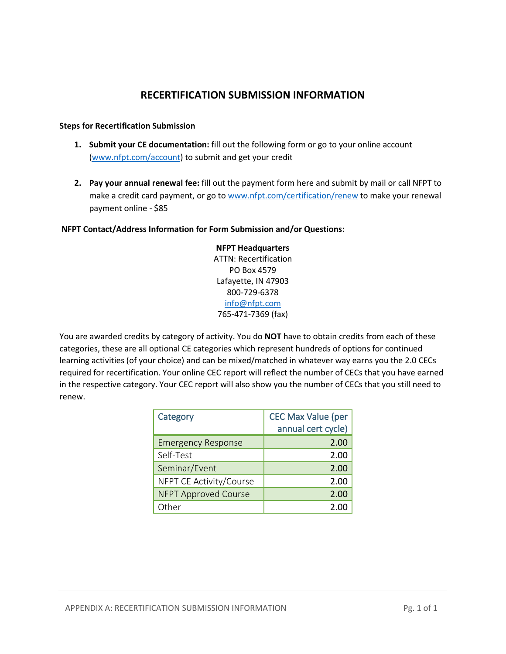#### **RECERTIFICATION SUBMISSION INFORMATION**

#### **Steps for Recertification Submission**

- **1. Submit your CE documentation:** fill out the following form or go to your online account [\(www.nfpt.com/account\)](http://www.nfpt.com/account) to submit and get your credit
- **2. Pay your annual renewal fee:** fill out the payment form here and submit by mail or call NFPT to make a credit card payment, or go to [www.nfpt.com/certification/renew](http://www.nfpt.com/certification/renew) to make your renewal payment online - \$85

#### **NFPT Contact/Address Information for Form Submission and/or Questions:**

**NFPT Headquarters** ATTN: Recertification PO Box 4579 Lafayette, IN 47903 800-729-6378 [info@nfpt.com](mailto:info@nfpt.com) 765-471-7369 (fax)

You are awarded credits by category of activity. You do **NOT** have to obtain credits from each of these categories, these are all optional CE categories which represent hundreds of options for continued learning activities (of your choice) and can be mixed/matched in whatever way earns you the 2.0 CECs required for recertification. Your online CEC report will reflect the number of CECs that you have earned in the respective category. Your CEC report will also show you the number of CECs that you still need to renew.

| Category                    | <b>CEC Max Value (per</b> |
|-----------------------------|---------------------------|
|                             | annual cert cycle)        |
| <b>Emergency Response</b>   | 2.00                      |
| Self-Test                   | 2.00                      |
| Seminar/Event               | 2.00                      |
| NFPT CE Activity/Course     | 2.00                      |
| <b>NFPT Approved Course</b> | 2.00                      |
| Other                       | 2.00                      |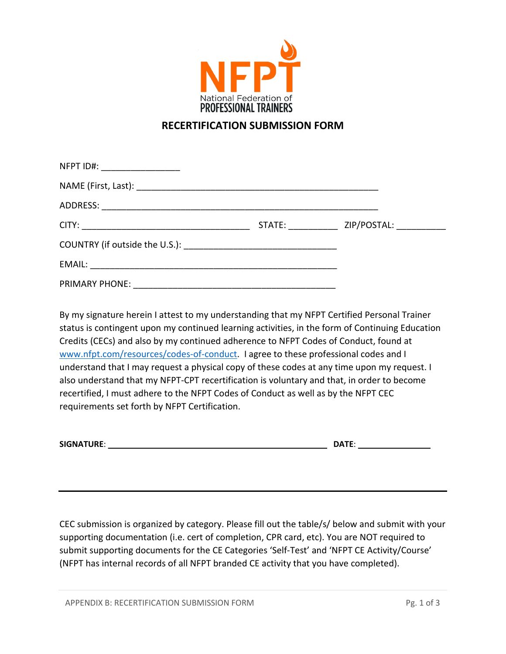

#### **RECERTIFICATION SUBMISSION FORM**

| NFPT ID#: ____________________ |                                           |
|--------------------------------|-------------------------------------------|
|                                |                                           |
|                                |                                           |
|                                | STATE: ___________ ZIP/POSTAL: __________ |
|                                |                                           |
|                                |                                           |
|                                |                                           |

By my signature herein I attest to my understanding that my NFPT Certified Personal Trainer status is contingent upon my continued learning activities, in the form of Continuing Education Credits (CECs) and also by my continued adherence to NFPT Codes of Conduct, found at [www.nfpt.com/resources/codes-of-conduct.](http://www.nfpt.com/resources/codes-of-conduct) I agree to these professional codes and I understand that I may request a physical copy of these codes at any time upon my request. I also understand that my NFPT-CPT recertification is voluntary and that, in order to become recertified, I must adhere to the NFPT Codes of Conduct as well as by the NFPT CEC requirements set forth by NFPT Certification.

| <b>SIGNATURE:</b> |  | <b>DATE</b> |
|-------------------|--|-------------|
|-------------------|--|-------------|

CEC submission is organized by category. Please fill out the table/s/ below and submit with your supporting documentation (i.e. cert of completion, CPR card, etc). You are NOT required to submit supporting documents for the CE Categories 'Self-Test' and 'NFPT CE Activity/Course' (NFPT has internal records of all NFPT branded CE activity that you have completed).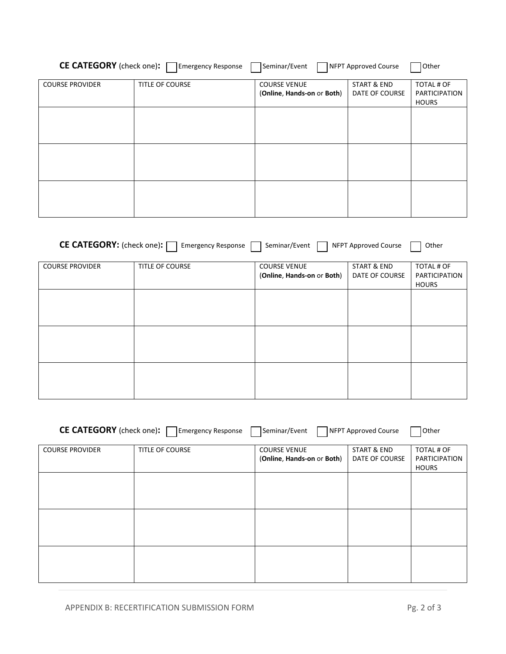| <b>CE CATEGORY</b> (check one): | <b>Emergency Response</b> | Seminar/Event              | NFPT Approved Course | <b>Other</b>         |
|---------------------------------|---------------------------|----------------------------|----------------------|----------------------|
| COURSE PROVIDER                 | <b>TITLE OF COURSE</b>    | <b>COURSE VENUE</b>        | START & END          | TOTAL # OF           |
|                                 |                           | (Online, Hands-on or Both) | DATE OF COURSE       | <b>PARTICIPATION</b> |

|  | (Unline, Hands-on or Both) $\parallel$ DATE OF COURSE | PARTICIPATION<br><b>HOURS</b> |
|--|-------------------------------------------------------|-------------------------------|
|  |                                                       |                               |
|  |                                                       |                               |
|  |                                                       |                               |
|  |                                                       |                               |
|  |                                                       |                               |
|  |                                                       |                               |

| CE CATEGORY: (check one): | <b>Emergency Response</b> | Seminar/Event                                     | <b>NFPT Approved Course</b>   | Other                                              |
|---------------------------|---------------------------|---------------------------------------------------|-------------------------------|----------------------------------------------------|
| <b>COURSE PROVIDER</b>    | <b>TITLE OF COURSE</b>    | <b>COURSE VENUE</b><br>(Online, Hands-on or Both) | START & END<br>DATE OF COURSE | TOTAL # OF<br><b>PARTICIPATION</b><br><b>HOURS</b> |
|                           |                           |                                                   |                               |                                                    |
|                           |                           |                                                   |                               |                                                    |
|                           |                           |                                                   |                               |                                                    |

| <b>CE CATEGORY</b> (check one): Femergency Response<br>Seminar/Event<br>NFPT Approved Course<br>Other |                 |                            |                |               |
|-------------------------------------------------------------------------------------------------------|-----------------|----------------------------|----------------|---------------|
| <b>COURSE PROVIDER</b>                                                                                | TITLE OF COURSE | <b>COURSE VENUE</b>        | START & END    | TOTAL # OF    |
|                                                                                                       |                 | (Online, Hands-on or Both) | DATE OF COURSE | PARTICIPATION |
|                                                                                                       |                 |                            |                | <b>HOURS</b>  |
|                                                                                                       |                 |                            |                |               |
|                                                                                                       |                 |                            |                |               |
|                                                                                                       |                 |                            |                |               |
|                                                                                                       |                 |                            |                |               |
|                                                                                                       |                 |                            |                |               |
|                                                                                                       |                 |                            |                |               |
|                                                                                                       |                 |                            |                |               |
|                                                                                                       |                 |                            |                |               |
|                                                                                                       |                 |                            |                |               |
|                                                                                                       |                 |                            |                |               |
|                                                                                                       |                 |                            |                |               |
|                                                                                                       |                 |                            |                |               |